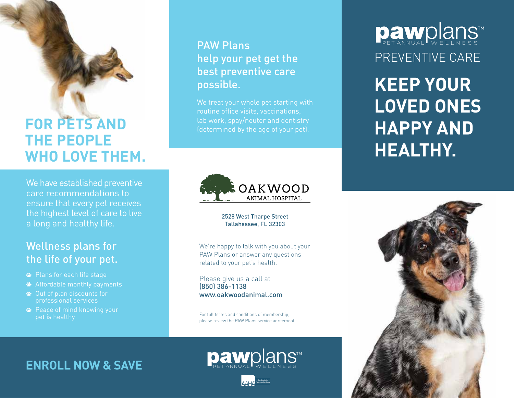### **FOR PETS AND THE PEOPLE WHO LOVE THEM.**

We have established preventive care recommendations to ensure that every pet receives the highest level of care to live a long and healthy life.

#### Wellness plans for the life of your pet.

- Plans for each life stage
- Affordable monthly payments
- Out of plan discounts for professional services
- **<sup>■</sup>** Peace of mind knowing your pet is healthy

#### PAW Plans help your pet get the best preventive care possible.

We treat your whole pet starting with routine office visits, vaccinations, lab work, spay/neuter and dentistry (determined by the age of your pet).



2528 West Tharpe Street Tallahassee, FL 32303

We're happy to talk with you about your PAW Plans or answer any questions related to your pet's health.

Please give us a call at (850) 386-1138 www.oakwoodanimal.com

For full terms and conditions of membership, please review the PAW Plans service agreement.

**ENROLL NOW & SAVE**

# pawplans



# **Daw**plans™ PREVENTIVE CARE

**KEEP YOUR LOVED ONES HAPPY AND HEALTHY.**